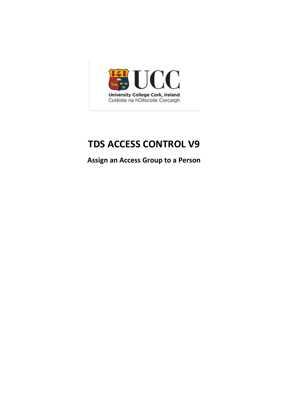

## **TDS ACCESS CONTROL V9**

**Assign an Access Group to a Person**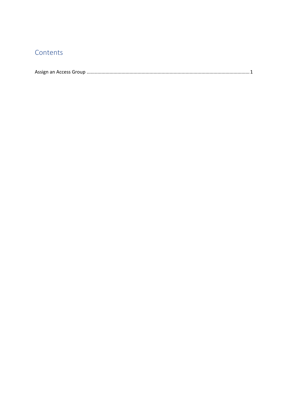## Contents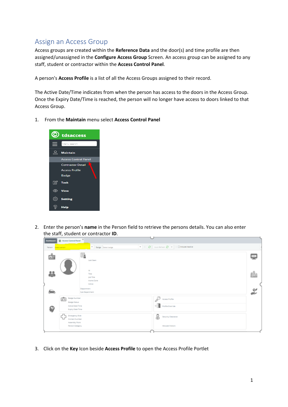## <span id="page-2-0"></span>Assign an Access Group

Access groups are created within the **Reference Data** and the door(s) and time profile are then assigned/unassigned in the **Configure Access Group** Screen. An access group can be assigned to any staff, student or contractor within the **Access Control Panel**.

A person's **Access Profile** is a list of all the Access Groups assigned to their record.

The Active Date/Time indicates from when the person has access to the doors in the Access Group. Once the Expiry Date/Time is reached, the person will no longer have access to doors linked to that Access Group.

1. From the **Maintain** menu select **Access Control Panel**



2. Enter the person's **name** in the Person field to retrieve the persons details. You can also enter the staff, student or contractor **ID**.

| <b>C</b> Access Cantral Panel<br><b>Quebboard</b>                                                                        |                                                                                                     |                                                                                     |             |
|--------------------------------------------------------------------------------------------------------------------------|-----------------------------------------------------------------------------------------------------|-------------------------------------------------------------------------------------|-------------|
| Person Selectionnen                                                                                                      | * Setp: Selectoripe                                                                                 |                                                                                     |             |
| Ġ<br>åå                                                                                                                  | E.<br>Last Seen<br>id.<br>Title<br>job Title<br>Home Zone<br>Active<br>Department<br>Sub Department |                                                                                     | ÷<br>ß<br>≚ |
| <b>Badge Number</b><br>喧<br><b>Badge Status</b><br>Emergency Role<br>an in<br>نے یا<br>Assembly Point<br>Person Category | Active Date Time<br>Espiry Oate Time<br>Contact Number                                              | L<br>Access Profile<br>Contra Custide<br>2<br>Security Cearance<br>Allowed Visitors |             |

3. Click on the **Key** Icon beside **Access Profile** to open the Access Profile Portlet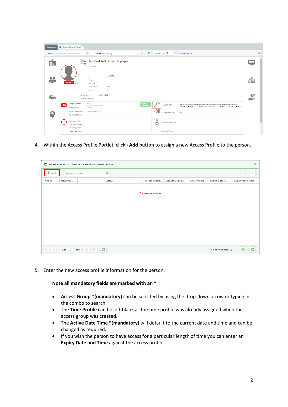| <b>Dashboard</b> | C Access Control Panel                                                                                                                                                                                   | $\mathbf{x}$                                                                                                                                                                                |        |                         |                                 |                                                                                                   |                                                                                                                                                             |                    |            |
|------------------|----------------------------------------------------------------------------------------------------------------------------------------------------------------------------------------------------------|---------------------------------------------------------------------------------------------------------------------------------------------------------------------------------------------|--------|-------------------------|---------------------------------|---------------------------------------------------------------------------------------------------|-------------------------------------------------------------------------------------------------------------------------------------------------------------|--------------------|------------|
| Person           | CO1276 - Test Card Audio Visual                                                                                                                                                                          | $x -$<br>Badge Select badge                                                                                                                                                                 |        | ø<br>$\bar{\mathbf{v}}$ |                                 | Auto Refresh $\sigma$                                                                             | □ Include inactive                                                                                                                                          |                    | $\ddot{ }$ |
| 鼀<br>28          | OFF SITE                                                                                                                                                                                                 | E.<br><b>Test Card Audio Visual, Employee</b><br>Last Seen<br><b>Id</b><br>Title<br>Job Title<br>Staff<br>Home Zone<br>Yes<br>Active<br><b>Audio Visual</b><br>Department<br>Sub Department | CO1276 |                         |                                 |                                                                                                   |                                                                                                                                                             | 米米米。<br>$\sqrt{2}$ | $\Delta$   |
| $\bullet$        | <b>Badge Number</b><br>喧<br><b>Badge Status</b><br><b>Active Date Time</b><br><b>Expiry Date Time</b><br>€<br><b>Emergency Role</b><br><b>Contact Number</b><br><b>Assembly Point</b><br>Person Category | 96734<br>Invalid<br>10/09/2019 10:20<br>$\sim$                                                                                                                                              |        | Issue<br>Tempor.        | ₽<br>$\circ$ $\rightarrow$<br>å | <b>Access Profile</b><br>Profile Override<br><b>Security Clearance</b><br><b>Allowed Visitors</b> | Distillery House Global, Boole Library Global, Boole Quad Reading Room<br>Global, Sheraton Court Main Door Global (Staff Student), Brookfield General<br>No |                    |            |

4. Within the Access Profile Portlet, click **+Add** button to assign a new Access Profile to the person.

|        | Access Profile / CO1276 - Test Card Audio Visual / Active<br>$\pmb{\times}$ |   |             |                    |              |                     |                    |                         |          |
|--------|-----------------------------------------------------------------------------|---|-------------|--------------------|--------------|---------------------|--------------------|-------------------------|----------|
| Add    | Keyword search                                                              |   | $\mathsf Q$ |                    |              |                     |                    |                         | $\cdots$ |
| Action | Person type                                                                 |   | Active      | Access Group       | Access Group | <b>Time Profile</b> | Active Date T      | <b>Expiry Date Time</b> |          |
|        |                                                                             |   |             | No data to display |              |                     |                    |                         |          |
|        | $\ll$ $\mid$ $\mid$ Page $\mid$ of 0 $\mid$ $\rangle$ $\gg$                 | ø |             |                    |              |                     | No data to display | ⊕                       | ē        |

5. Enter the new access profile information for the person.

**Note all mandatory fields are marked with an \***

- **Access Group \*(mandatory)** can be selected by using the drop-down arrow or typing in the combo to search.
- The **Time Profile** can be left blank as the time profile was already assigned when the access group was created.
- The **Active Date Time \***(**mandatory)** will default to the current date and time and can be changed as required.
- If you wish the person to have access for a particular length of time you can enter an **Expiry Date and Time** against the access profile.